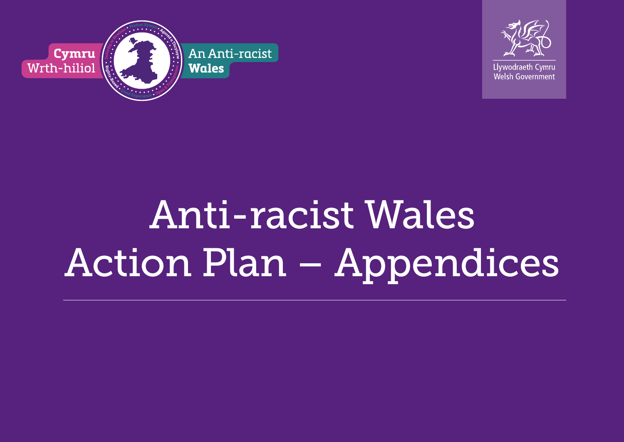



# Anti-racist Wales Action Plan – Appendices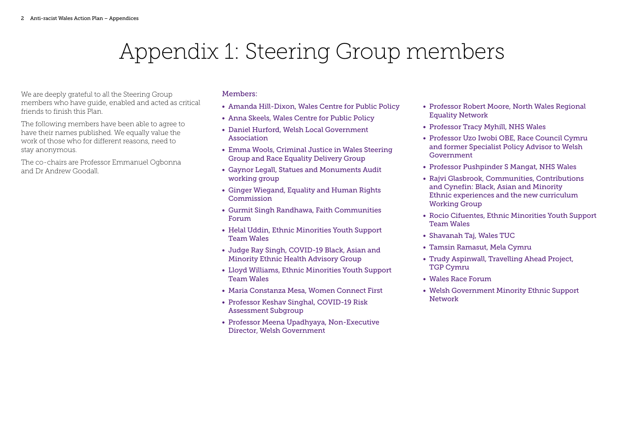## Appendix 1: Steering Group members

We are deeply grateful to all the Steering Group members who have guide, enabled and acted as critical friends to finish this Plan.

The following members have been able to agree to have their names published. We equally value the work of those who for different reasons, need to stay anonymous.

The co-chairs are Professor Emmanuel Ogbonna and Dr Andrew Goodall.

#### Members:

- Amanda Hill-Dixon, Wales Centre for Public Policy
- Anna Skeels, Wales Centre for Public Policy
- Daniel Hurford, Welsh Local Government Association
- Emma Wools, Criminal Justice in Wales Steering Group and Race Equality Delivery Group
- Gaynor Legall, Statues and Monuments Audit working group
- Ginger Wiegand, Equality and Human Rights **Commission**
- Gurmit Singh Randhawa, Faith Communities Forum
- Helal Uddin, Ethnic Minorities Youth Support Team Wales
- Judge Ray Singh, COVID-19 Black, Asian and Minority Ethnic Health Advisory Group
- Lloyd Williams, Ethnic Minorities Youth Support Team Wales
- Maria Constanza Mesa, Women Connect First
- Professor Keshav Singhal, COVID-19 Risk Assessment Subgroup
- Professor Meena Upadhyaya, Non-Executive Director, Welsh Government
- Professor Robert Moore, North Wales Regional Equality Network
- Professor Tracy Myhill, NHS Wales
- Professor Uzo Iwobi OBE, Race Council Cymru and former Specialist Policy Advisor to Welsh Government
- Professor Pushpinder S Mangat, NHS Wales
- Rajvi Glasbrook, Communities, Contributions and Cynefin: Black, Asian and Minority Ethnic experiences and the new curriculum Working Group
- Rocio Cifuentes, Ethnic Minorities Youth Support Team Wales
- Shavanah Taj, Wales TUC
- Tamsin Ramasut, Mela Cymru
- Trudy Aspinwall, Travelling Ahead Project, TGP Cymru
- Wales Race Forum
- Welsh Government Minority Ethnic Support Network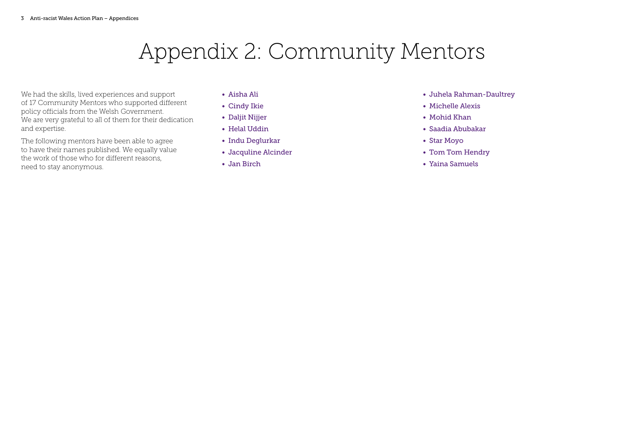# Appendix 2: Community Mentors

We had the skills, lived experiences and support of 17 Community Mentors who supported different policy officials from the Welsh Government. We are very grateful to all of them for their dedication and expertise.

The following mentors have been able to agree to have their names published. We equally value the work of those who for different reasons, need to stay anonymous.

- Aisha Ali
- Cindy Ikie
- Daljit Nijjer
- Helal Uddin
- Indu Deglurkar
- Jacquline Alcinder
- Jan Birch
- Juhela Rahman-Daultrey
- Michelle Alexis
- Mohid Khan
- Saadia Abubakar
- Star Moyo
- Tom Tom Hendry
- Yaina Samuels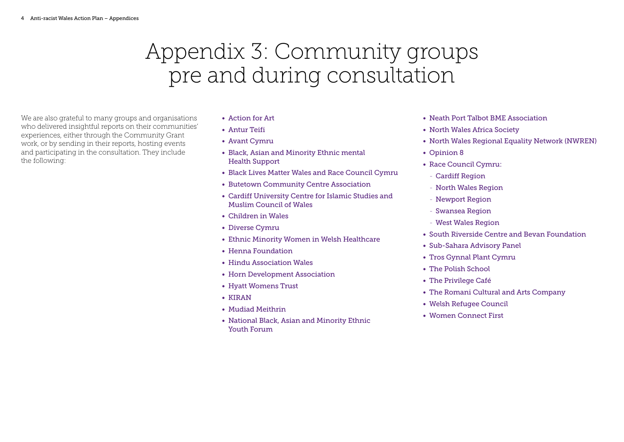# Appendix 3: Community groups pre and during consultation

We are also grateful to many groups and organisations who delivered insightful reports on their communities' experiences, either through the Community Grant work, or by sending in their reports, hosting events and participating in the consultation. They include the following:

- Action for Art
- Antur Teifi
- Avant Cymru
- Black, Asian and Minority Ethnic mental Health Support
- Black Lives Matter Wales and Race Council Cymru
- Butetown Community Centre Association
- Cardiff University Centre for Islamic Studies and Muslim Council of Wales
- Children in Wales
- Diverse Cymru
- Ethnic Minority Women in Welsh Healthcare
- Henna Foundation
- Hindu Association Wales
- Horn Development Association
- Hyatt Womens Trust
- KIRAN
- Mudiad Meithrin
- National Black, Asian and Minority Ethnic Youth Forum
- Neath Port Talbot BME Association
- North Wales Africa Society
- North Wales Regional Equality Network (NWREN)
- Opinion 8
- Race Council Cymru:
	- Cardiff Region
	- North Wales Region
	- Newport Region
	- Swansea Region
	- West Wales Region
- South Riverside Centre and Bevan Foundation
- Sub-Sahara Advisory Panel
- Tros Gynnal Plant Cymru
- The Polish School
- The Privilege Café
- The Romani Cultural and Arts Company
- Welsh Refugee Council
- Women Connect First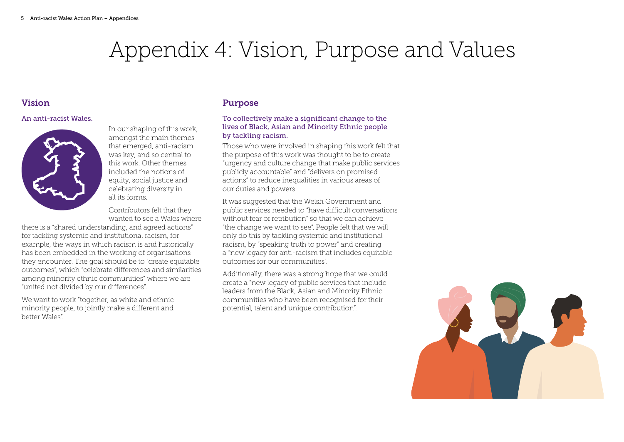# Appendix 4: Vision, Purpose and Values

#### Vision

#### An anti-racist Wales.



In our shaping of this work, amongst the main themes that emerged, anti-racism was key, and so central to this work. Other themes included the notions of equity, social justice and celebrating diversity in all its forms.

Contributors felt that they wanted to see a Wales where

there is a "shared understanding, and agreed actions" for tackling systemic and institutional racism, for example, the ways in which racism is and historically has been embedded in the working of organisations they encounter. The goal should be to "create equitable outcomes", which "celebrate differences and similarities among minority ethnic communities" where we are "united not divided by our differences".

We want to work "together, as white and ethnic minority people, to jointly make a different and better Wales".

#### Purpose

#### To collectively make a significant change to the lives of Black, Asian and Minority Ethnic people by tackling racism.

Those who were involved in shaping this work felt that the purpose of this work was thought to be to create "urgency and culture change that make public services publicly accountable" and "delivers on promised actions" to reduce inequalities in various areas of our duties and powers.

It was suggested that the Welsh Government and public services needed to "have difficult conversations without fear of retribution" so that we can achieve "the change we want to see". People felt that we will only do this by tackling systemic and institutional racism, by "speaking truth to power" and creating a "new legacy for anti-racism that includes equitable outcomes for our communities".

Additionally, there was a strong hope that we could create a "new legacy of public services that include leaders from the Black, Asian and Minority Ethnic communities who have been recognised for their potential, talent and unique contribution".

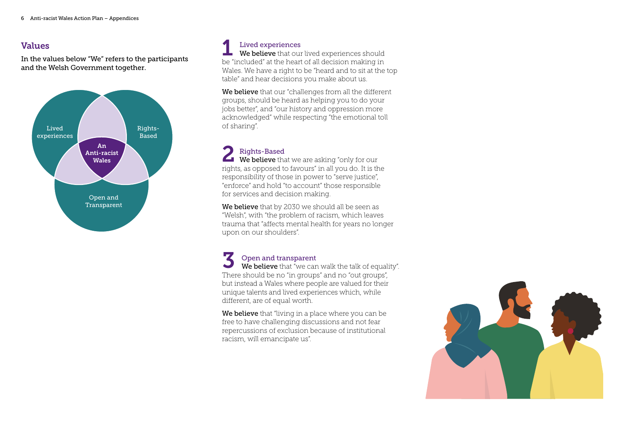#### Values

In the values below "We" refers to the participants and the Welsh Government together.



### Lived experiences

We believe that our lived experiences should Lived experiences<br>We believe that our lived experiences should<br>be "included" at the heart of all decision making in Wales. We have a right to be "heard and to sit at the top table" and hear decisions you make about us.

We believe that our "challenges from all the different groups, should be heard as helping you to do your jobs better", and "our history and oppression more acknowledged" while respecting "the emotional toll of sharing".

### Rights-Based

P Rights-Based<br>We believe that we are asking "only for our rights, as opposed to favours" in all you do. It is the responsibility of those in power to "serve justice", "enforce" and hold "to account" those responsible for services and decision making.

We believe that by 2030 we should all be seen as "Welsh", with "the problem of racism, which leaves trauma that "affects mental health for years no longer upon on our shoulders".

### Open and transparent

We believe that "we can walk the talk of equality". There should be no "in groups" and no "out groups", but instead a Wales where people are valued for their unique talents and lived experiences which, while different, are of equal worth. 3

We believe that "living in a place where you can be free to have challenging discussions and not fear repercussions of exclusion because of institutional racism, will emancipate us".

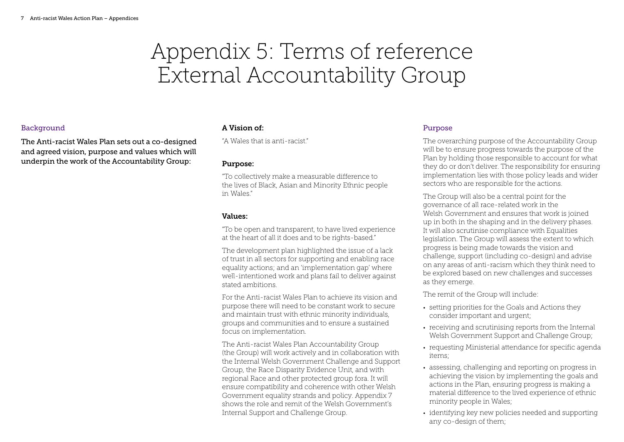### Appendix 5: Terms of reference External Accountability Group

#### **Background**

The Anti-racist Wales Plan sets out a co-designed and agreed vision, purpose and values which will underpin the work of the Accountability Group:

#### A Vision of:

"A Wales that is anti-racist."

#### Purpose:

"To collectively make a measurable difference to the lives of Black, Asian and Minority Ethnic people in Wales."

#### Values:

"To be open and transparent, to have lived experience at the heart of all it does and to be rights-based."

The development plan highlighted the issue of a lack of trust in all sectors for supporting and enabling race equality actions; and an 'implementation gap' where well-intentioned work and plans fail to deliver against stated ambitions.

For the Anti-racist Wales Plan to achieve its vision and purpose there will need to be constant work to secure and maintain trust with ethnic minority individuals, groups and communities and to ensure a sustained focus on implementation.

The Anti-racist Wales Plan Accountability Group (the Group) will work actively and in collaboration with the Internal Welsh Government Challenge and Support Group, the Race Disparity Evidence Unit, and with regional Race and other protected group fora. It will ensure compatibility and coherence with other Welsh Government equality strands and policy. Appendix 7 shows the role and remit of the Welsh Government's Internal Support and Challenge Group.

#### Purpose

The overarching purpose of the Accountability Group will be to ensure progress towards the purpose of the Plan by holding those responsible to account for what they do or don't deliver. The responsibility for ensuring implementation lies with those policy leads and wider sectors who are responsible for the actions.

The Group will also be a central point for the governance of all race-related work in the Welsh Government and ensures that work is joined up in both in the shaping and in the delivery phases. It will also scrutinise compliance with Equalities legislation. The Group will assess the extent to which progress is being made towards the vision and challenge, support (including co-design) and advise on any areas of anti-racism which they think need to be explored based on new challenges and successes as they emerge.

The remit of the Group will include:

- setting priorities for the Goals and Actions they consider important and urgent;
- receiving and scrutinising reports from the Internal Welsh Government Support and Challenge Group;
- requesting Ministerial attendance for specific agenda items;
- assessing, challenging and reporting on progress in achieving the vision by implementing the goals and actions in the Plan, ensuring progress is making a material difference to the lived experience of ethnic minority people in Wales;
- identifying key new policies needed and supporting any co-design of them;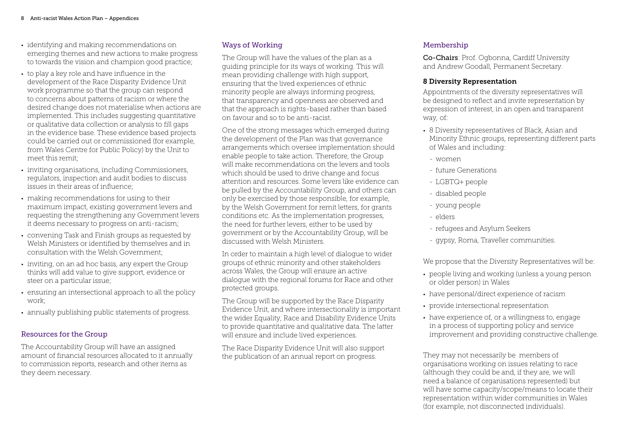- identifying and making recommendations on emerging themes and new actions to make progress to towards the vision and champion good practice;
- to play a key role and have influence in the development of the Race Disparity Evidence Unit work programme so that the group can respond to concerns about patterns of racism or where the desired change does not materialise when actions are implemented. This includes suggesting quantitative or qualitative data collection or analysis to fill gaps in the evidence base. These evidence based projects could be carried out or commissioned (for example, from Wales Centre for Public Policy) by the Unit to meet this remit;
- inviting organisations, including Commissioners, regulators, inspection and audit bodies to discuss issues in their areas of influence;
- making recommendations for using to their maximum impact, existing government levers and requesting the strengthening any Government levers it deems necessary to progress on anti-racism;
- convening Task and Finish groups as requested by Welsh Ministers or identified by themselves and in consultation with the Welsh Government;
- inviting, on an ad hoc basis, any expert the Group thinks will add value to give support, evidence or steer on a particular issue;
- ensuring an intersectional approach to all the policy work;
- annually publishing public statements of progress.

#### Resources for the Group

The Accountability Group will have an assigned amount of financial resources allocated to it annually to commission reports, research and other items as they deem necessary.

#### Ways of Working

The Group will have the values of the plan as a guiding principle for its ways of working. This will mean providing challenge with high support, ensuring that the lived experiences of ethnic minority people are always informing progress, that transparency and openness are observed and that the approach is rights-based rather than based on favour and so to be anti-racist.

One of the strong messages which emerged during the development of the Plan was that governance arrangements which oversee implementation should enable people to take action. Therefore, the Group will make recommendations on the levers and tools which should be used to drive change and focus attention and resources. Some levers like evidence can be pulled by the Accountability Group, and others can only be exercised by those responsible, for example, by the Welsh Government for remit letters, for grants conditions etc. As the implementation progresses, the need for further levers, either to be used by government or by the Accountability Group, will be discussed with Welsh Ministers.

In order to maintain a high level of dialogue to wider groups of ethnic minority and other stakeholders across Wales, the Group will ensure an active dialogue with the regional forums for Race and other protected groups.

The Group will be supported by the Race Disparity Evidence Unit, and where intersectionality is important the wider Equality, Race and Disability Evidence Units to provide quantitative and qualitative data. The latter will ensure and include lived experiences.

The Race Disparity Evidence Unit will also support the publication of an annual report on progress.

#### Membership

Co-Chairs: Prof. Ogbonna, Cardiff University and Andrew Goodall, Permanent Secretary.

#### 8 Diversity Representation

Appointments of the diversity representatives will be designed to reflect and invite representation by expression of interest, in an open and transparent way, of:

- 8 Diversity representatives of Black, Asian and Minority Ethnic groups, representing different parts of Wales and including:
	- women
	- future Generations
	- LGBTQ+ people
	- disabled people
	- young people
	- elders
	- refugees and Asylum Seekers
	- gypsy, Roma, Traveller communities.

We propose that the Diversity Representatives will be:

- people living and working (unless a young person or older person) in Wales
- have personal/direct experience of racism
- provide intersectional representation
- have experience of, or a willingness to, engage in a process of supporting policy and service improvement and providing constructive challenge.

They may not necessarily be members of organisations working on issues relating to race (although they could be and, if they are, we will need a balance of organisations represented) but will have some capacity/scope/means to locate their representation within wider communities in Wales (for example, not disconnected individuals).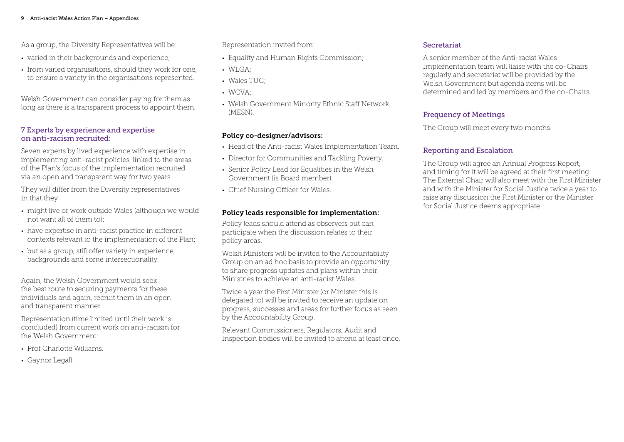As a group, the Diversity Representatives will be:

- varied in their backgrounds and experience;
- from varied organisations, should they work for one, to ensure a variety in the organisations represented.

Welsh Government can consider paying for them as long as there is a transparent process to appoint them.

#### 7 Experts by experience and expertise on anti-racism recruited:

Seven experts by lived experience with expertise in implementing anti-racist policies, linked to the areas of the Plan's focus of the implementation recruited via an open and transparent way for two years.

They will differ from the Diversity representatives in that they:

- might live or work outside Wales (although we would not want all of them to);
- have expertise in anti-racist practice in different contexts relevant to the implementation of the Plan;
- but as a group, still offer variety in experience, backgrounds and some intersectionality.

Again, the Welsh Government would seek the best route to securing payments for these individuals and again, recruit them in an open and transparent manner.

Representation (time limited until their work is concluded) from current work on anti-racism for the Welsh Government:

- Prof Charlotte Williams.
- Gaynor Legall.

Representation invited from:

- Equality and Human Rights Commission;
- WLGA;
- Wales TUC;
- WCVA;
- Welsh Government Minority Ethnic Staff Network (MESN).

#### Policy co-designer/advisors:

- Head of the Anti-racist Wales Implementation Team.
- Director for Communities and Tackling Poverty.
- Senior Policy Lead for Equalities in the Welsh Government (is Board member).
- Chief Nursing Officer for Wales.

#### Policy leads responsible for implementation:

Policy leads should attend as observers but can participate when the discussion relates to their policy areas.

Welsh Ministers will be invited to the Accountability Group on an ad hoc basis to provide an opportunity to share progress updates and plans within their Ministries to achieve an anti-racist Wales.

Twice a year the First Minister (or Minister this is delegated to) will be invited to receive an update on progress, successes and areas for further focus as seen by the Accountability Group.

Relevant Commissioners, Regulators, Audit and Inspection bodies will be invited to attend at least once.

#### Secretariat

A senior member of the Anti-racist Wales Implementation team will liaise with the co-Chairs regularly and secretariat will be provided by the Welsh Government but agenda items will be determined and led by members and the co-Chairs.

#### Frequency of Meetings

The Group will meet every two months.

#### Reporting and Escalation

The Group will agree an Annual Progress Report, and timing for it will be agreed at their first meeting. The External Chair will also meet with the First Minister and with the Minister for Social Justice twice a year to raise any discussion the First Minister or the Minister for Social Justice deems appropriate.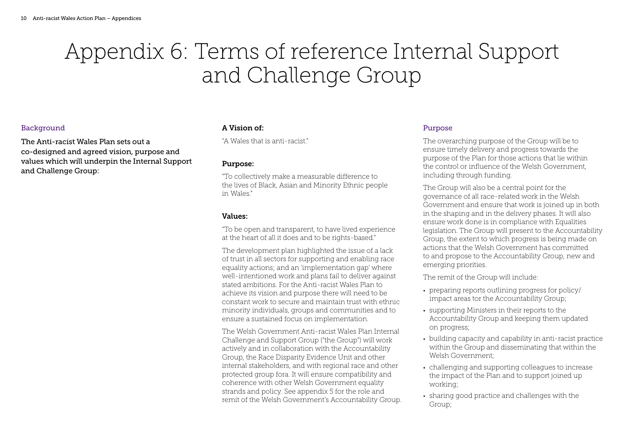# Appendix 6: Terms of reference Internal Support and Challenge Group

#### **Background**

The Anti-racist Wales Plan sets out a co-designed and agreed vision, purpose and values which will underpin the Internal Support and Challenge Group:

#### A Vision of:

"A Wales that is anti-racist."

#### Purpose:

"To collectively make a measurable difference to the lives of Black, Asian and Minority Ethnic people in Wales."

#### Values:

"To be open and transparent, to have lived experience at the heart of all it does and to be rights-based."

The development plan highlighted the issue of a lack of trust in all sectors for supporting and enabling race equality actions; and an 'implementation gap' where well-intentioned work and plans fail to deliver against stated ambitions. For the Anti-racist Wales Plan to achieve its vision and purpose there will need to be constant work to secure and maintain trust with ethnic minority individuals, groups and communities and to ensure a sustained focus on implementation.

The Welsh Government Anti-racist Wales Plan Internal Challenge and Support Group ("the Group") will work actively and in collaboration with the Accountability Group, the Race Disparity Evidence Unit and other internal stakeholders, and with regional race and other protected group fora. It will ensure compatibility and coherence with other Welsh Government equality strands and policy. See appendix 5 for the role and remit of the Welsh Government's Accountability Group.

#### Purpose

The overarching purpose of the Group will be to ensure timely delivery and progress towards the purpose of the Plan for those actions that lie within the control or influence of the Welsh Government, including through funding.

The Group will also be a central point for the governance of all race-related work in the Welsh Government and ensure that work is joined up in both in the shaping and in the delivery phases. It will also ensure work done is in compliance with Equalities legislation. The Group will present to the Accountability Group, the extent to which progress is being made on actions that the Welsh Government has committed to and propose to the Accountability Group, new and emerging priorities.

The remit of the Group will include:

- preparing reports outlining progress for policy/ impact areas tor the Accountability Group;
- supporting Ministers in their reports to the Accountability Group and keeping them updated on progress;
- building capacity and capability in anti-racist practice within the Group and disseminating that within the Welsh Government;
- challenging and supporting colleagues to increase the impact of the Plan and to support joined up working;
- sharing good practice and challenges with the Group;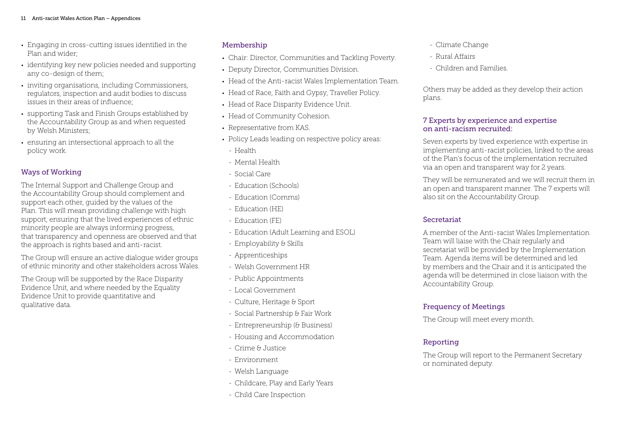- Engaging in cross-cutting issues identified in the Plan and wider;
- identifying key new policies needed and supporting any co-design of them:
- inviting organisations, including Commissioners, regulators, inspection and audit bodies to discuss issues in their areas of influence;
- supporting Task and Finish Groups established by the Accountability Group as and when requested by Welsh Ministers;
- ensuring an intersectional approach to all the policy work.

#### Ways of Working

The Internal Support and Challenge Group and the Accountability Group should complement and support each other, guided by the values of the Plan. This will mean providing challenge with high support, ensuring that the lived experiences of ethnic minority people are always informing progress, that transparency and openness are observed and that the approach is rights based and anti-racist.

The Group will ensure an active dialogue wider groups of ethnic minority and other stakeholders across Wales.

The Group will be supported by the Race Disparity Evidence Unit, and where needed by the Equality Evidence Unit to provide quantitative and qualitative data.

#### Membership

- Chair: Director, Communities and Tackling Poverty.
- Deputy Director, Communities Division.
- Head of the Anti-racist Wales Implementation Team.
- Head of Race, Faith and Gypsy, Traveller Policy.
- Head of Race Disparity Evidence Unit.
- Head of Community Cohesion.
- Representative from KAS.
- Policy Leads leading on respective policy areas:
- Health
- Mental Health
- Social Care
- Education (Schools)
- Education (Comms)
- Education (HE)
- Education (FE)
- Education (Adult Learning and ESOL)
- Employability & Skills
- Apprenticeships
- Welsh Government HR
- Public Appointments
- Local Government
- Culture, Heritage & Sport
- Social Partnership & Fair Work
- Entrepreneurship (& Business)
- Housing and Accommodation
- Crime & Justice
- Environment
- Welsh Language
- Childcare, Play and Early Years
- Child Care Inspection
- Climate Change
- Rural Affairs
- Children and Families.

Others may be added as they develop their action plans.

#### 7 Experts by experience and expertise on anti-racism recruited:

Seven experts by lived experience with expertise in implementing anti-racist policies, linked to the areas of the Plan's focus of the implementation recruited via an open and transparent way for 2 years.

They will be remunerated and we will recruit them in an open and transparent manner. The 7 experts will also sit on the Accountability Group.

#### Secretariat

A member of the Anti-racist Wales Implementation Team will liaise with the Chair regularly and secretariat will be provided by the Implementation Team. Agenda items will be determined and led by members and the Chair and it is anticipated the agenda will be determined in close liaison with the Accountability Group.

#### Frequency of Meetings

The Group will meet every month.

#### Reporting

The Group will report to the Permanent Secretary or nominated deputy.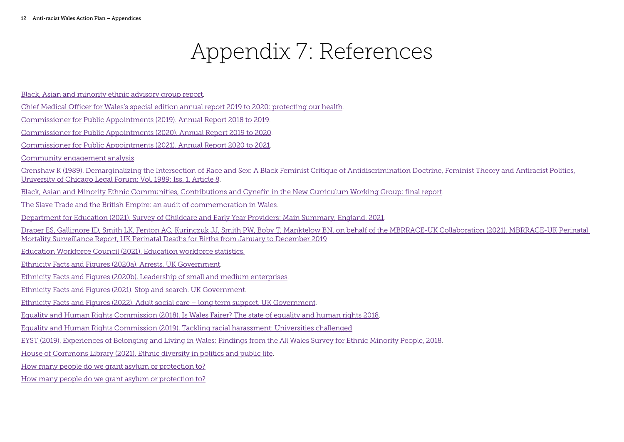# Appendix 7: References

- [Black, Asian and minority ethnic advisory group report](https://gov.wales/black-asian-and-minority-ethnic-advisory-group).
- [Chief Medical Officer for Wales's special edition annual report 2019 to 2020: protecting our health](https://gov.wales/chief-medical-officer-waless-special-edition-annual-report-2019-2020-protecting-our-health).
- [Commissioner for Public Appointments \(2019\). Annual Report 2018 to 2019](https://39h2q54dv7u74bwyae2bp396-wpengine.netdna-ssl.com/wp-content/uploads/2019/10/2018-19-OCPA-Annual-Report.pdf).
- [Commissioner for Public Appointments \(2020\). Annual Report 2019 to 2020](https://39h2q54dv7u74bwyae2bp396-wpengine.netdna-ssl.com/wp-content/uploads/2021/01/OCPA-19-20-Annual-report-final-26-11-2020.pdf).
- [Commissioner for Public Appointments \(2021\). Annual Report 2020 to 2021](https://39h2q54dv7u74bwyae2bp396-wpengine.netdna-ssl.com/wp-content/uploads/2021/10/OCPA-20-21-Annual-Report.pdf).
- [Community engagement analysis](https://gov.wales/sites/default/files/consultations/2021-03/community-engagement-analysis-march-2021.pdf).
- [Crenshaw K \(1989\). Demarginalizing the Intersection of Race and Sex: A Black Feminist Critique of Antidiscrimination Doctrine, Feminist Theory and Antiracist Politics,](https://chicagounbound.uchicago.edu/uclf/vol1989/iss1/8/)  [University of Chicago Legal Forum: Vol. 1989: Iss. 1, Article 8](https://chicagounbound.uchicago.edu/uclf/vol1989/iss1/8/).
- [Black, Asian and Minority Ethnic Communities, Contributions and Cynefin in the New Curriculum Working Group: final report](https://gov.wales/final-report-black-asian-and-minority-ethnic-communities-contributions-and-cynefin-new-curriculum).
- [The Slave Trade and the British Empire: an audit of commemoration in Wales](https://gov.wales/slave-trade-and-british-empire-audit-commemoration-wales).
- [Department for Education \(2021\). Survey of Childcare and Early Year Providers: Main Summary, England, 2021](https://assets.publishing.service.gov.uk/government/uploads/system/uploads/attachment_data/file/1039675/Main_summary_survey_of_childcare_and_early_years_providers_2021.pdf).
- [Draper ES, Gallimore ID, Smith LK, Fenton AC, Kurinczuk JJ, Smith PW, Boby T, Manktelow BN, on behalf of the MBRRACE-UK Collaboration \(2021\). MBRRACE-UK Perinatal](https://www.npeu.ox.ac.uk/assets/downloads/mbrrace-uk/reports/perinatal-surveillance-report-2019/MBRRACE-UK_Perinatal_Surveillance_Report_2019_-_Final_v2.pdf)  [Mortality Surveillance Report, UK Perinatal Deaths for Births from January to December 2019](https://www.npeu.ox.ac.uk/assets/downloads/mbrrace-uk/reports/perinatal-surveillance-report-2019/MBRRACE-UK_Perinatal_Surveillance_Report_2019_-_Final_v2.pdf).
- [Education Workforce Council \(2021\). Education workforce statistics](https://www.ewc.wales/site/index.php/en/research-and-statistics/workforce-statistics.html#annual-education-workforce-statistics).
- [Ethnicity Facts and Figures \(2020a\). Arrests. UK Government](https://www.ethnicity-facts-figures.service.gov.uk/crime-justice-and-the-law/policing/number-of-arrests/latest).
- [Ethnicity Facts and Figures \(2020b\). Leadership of small and medium enterprises](https://www.ethnicity-facts-figures.service.gov.uk/workforce-and-business/business/leadership-of-small-and-medium-enterprises/latest#by-ethnicity-and-area-smes-with-employees).
- [Ethnicity Facts and Figures \(2021\). Stop and search. UK Government](https://www.ethnicity-facts-figures.service.gov.uk/crime-justice-and-the-law/policing/stop-and-search/latest#by-ethnicity-and-area).
- [Ethnicity Facts and Figures \(2022\). Adult social care long term support. UK Government](https://www.ethnicity-facts-figures.service.gov.uk/health/social-care/adult-social-care-long-term-support/latest#data-sources).
- [Equality and Human Rights Commission \(2018\). Is Wales Fairer? The state of equality and human rights 2018](https://www.equalityhumanrights.com/sites/default/files/is-britain-fairer-2018-is-wales-fairer.pdf).
- [Equality and Human Rights Commission \(2019\). Tackling racial harassment: Universities challenged](https://www.equalityhumanrights.com/sites/default/files/tackling-racial-harassment-universities-challenged.pdf).
- [EYST \(2019\). Experiences of Belonging and Living in Wales: Findings from the All Wales Survey for Ethnic Minority People, 2018](https://eyst.org.uk/assets/all-wales-survey-for-ethnic-minority-people-final.pdf).
- [House of Commons Library \(2021\). Ethnic diversity in politics and public life](https://researchbriefings.files.parliament.uk/documents/SN01156/SN01156.pdf).
- [How many people do we grant asylum or protection to?](https://www.gov.uk/government/statistics/immigration-statistics-year-ending-december-2021/how-many-people-do-we-grant-asylum-or-protection-to)
- [How many people do we grant asylum or protection to?](https://www.gov.uk/government/statistics/immigration-statistics-year-ending-december-2021/how-many-people-do-we-grant-asylum-or-protection-to)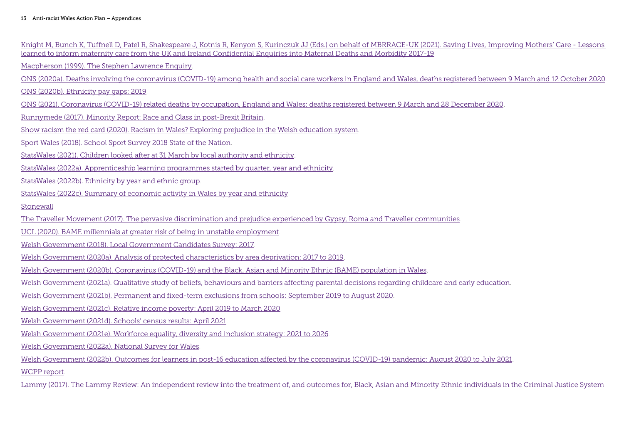| Knight M, Bunch K, Tuffnell D, Patel R, Shakespeare J, Kotnis R, Kenyon S, Kurinczuk JJ (Eds.) on behalf of MBRRACE-UK (2021). Saving Lives, Improving Mothers' Care - Lessons<br>learned to inform maternity care from the UK and Ireland Confidential Enguiries into Maternal Deaths and Morbidity 2017-19. |
|---------------------------------------------------------------------------------------------------------------------------------------------------------------------------------------------------------------------------------------------------------------------------------------------------------------|
| Macpherson (1999). The Stephen Lawrence Enquiry.                                                                                                                                                                                                                                                              |
| ONS (2020a). Deaths involving the coronavirus (COVID-19) among health and social care workers in England and Wales, deaths registered between 9 March and 12 October 2020.                                                                                                                                    |
| ONS (2020b). Ethnicity pay gaps: 2019.                                                                                                                                                                                                                                                                        |
| ONS (2021). Coronavirus (COVID-19) related deaths by occupation, England and Wales: deaths registered between 9 March and 28 December 2020.                                                                                                                                                                   |
| Runnymede (2017). Minority Report: Race and Class in post-Brexit Britain.                                                                                                                                                                                                                                     |
| Show racism the red card (2020). Racism in Wales? Exploring prejudice in the Welsh education system.                                                                                                                                                                                                          |
| Sport Wales (2018). School Sport Survey 2018 State of the Nation.                                                                                                                                                                                                                                             |
| StatsWales (2021). Children looked after at 31 March by local authority and ethnicity.                                                                                                                                                                                                                        |
| StatsWales (2022a). Apprenticeship learning programmes started by quarter, year and ethnicity.                                                                                                                                                                                                                |
| StatsWales (2022b). Ethnicity by year and ethnic group.                                                                                                                                                                                                                                                       |
| StatsWales (2022c). Summary of economic activity in Wales by year and ethnicity.                                                                                                                                                                                                                              |
| Stonewall                                                                                                                                                                                                                                                                                                     |
| The Traveller Movement (2017). The pervasive discrimination and prejudice experienced by Gypsy, Roma and Traveller communities.                                                                                                                                                                               |
| UCL (2020). BAME millennials at greater risk of being in unstable employment.                                                                                                                                                                                                                                 |
| Welsh Government (2018). Local Government Candidates Survey: 2017.                                                                                                                                                                                                                                            |
| Welsh Government (2020a). Analysis of protected characteristics by area deprivation: 2017 to 2019.                                                                                                                                                                                                            |
| Welsh Government (2020b). Coronavirus (COVID-19) and the Black, Asian and Minority Ethnic (BAME) population in Wales.                                                                                                                                                                                         |
| Welsh Government (2021a). Qualitative study of beliefs, behaviours and barriers affecting parental decisions regarding childcare and early education.                                                                                                                                                         |
| Welsh Government (2021b). Permanent and fixed-term exclusions from schools: September 2019 to August 2020.                                                                                                                                                                                                    |
| Welsh Government (2021c). Relative income poverty: April 2019 to March 2020.                                                                                                                                                                                                                                  |
| Welsh Government (2021d). Schools' census results: April 2021.                                                                                                                                                                                                                                                |
| Welsh Government (2021e). Workforce equality, diversity and inclusion strategy: 2021 to 2026.                                                                                                                                                                                                                 |
| Welsh Government (2022a). National Survey for Wales.                                                                                                                                                                                                                                                          |
| Welsh Government (2022b). Outcomes for learners in post-16 education affected by the coronavirus (COVID-19) pandemic: August 2020 to July 2021.                                                                                                                                                               |
| WCPP report.                                                                                                                                                                                                                                                                                                  |
| Lammy (2017). The Lammy Review: An independent review into the treatment of, and outcomes for, Black, Asian and Minority Ethnic individuals in the Criminal Justice System                                                                                                                                    |